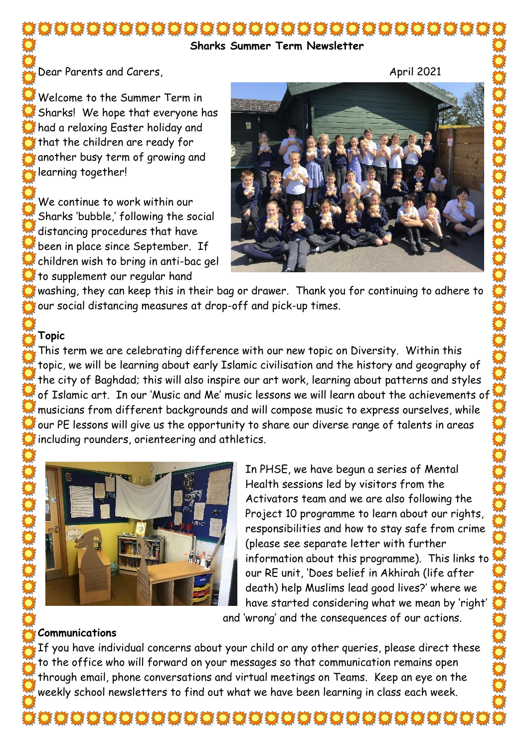#### **Sharks Summer Term Newsletter**

Dear Parents and Carers, April 2021

Welcome to the Summer Term in Sharks! We hope that everyone has had a relaxing Easter holiday and that the children are ready for another busy term of growing and learning together!

We continue to work within our Sharks 'bubble,' following the social distancing procedures that have been in place since September. If children wish to bring in anti-bac gel to supplement our regular hand



washing, they can keep this in their bag or drawer. Thank you for continuing to adhere to our social distancing measures at drop-off and pick-up times.

## **Topic**

This term we are celebrating difference with our new topic on Diversity. Within this topic, we will be learning about early Islamic civilisation and the history and geography of the city of Baghdad; this will also inspire our art work, learning about patterns and styles of Islamic art. In our 'Music and Me' music lessons we will learn about the achievements of musicians from different backgrounds and will compose music to express ourselves, while our PE lessons will give us the opportunity to share our diverse range of talents in areas including rounders, orienteering and athletics.



In PHSE, we have begun a series of Mental Health sessions led by visitors from the Activators team and we are also following the Project 10 programme to learn about our rights, responsibilities and how to stay safe from crime (please see separate letter with further information about this programme). This links to our RE unit, 'Does belief in Akhirah (life after death) help Muslims lead good lives?' where we have started considering what we mean by 'right'

### and 'wrong' and the consequences of our actions.

#### **Communications**

If you have individual concerns about your child or any other queries, please direct these to the office who will forward on your messages so that communication remains open through email, phone conversations and virtual meetings on Teams. Keep an eye on the weekly school newsletters to find out what we have been learning in class each week.